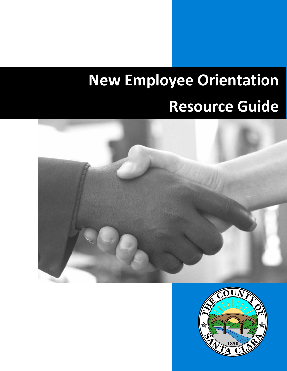# **New Employee Orientation Resource Guide**



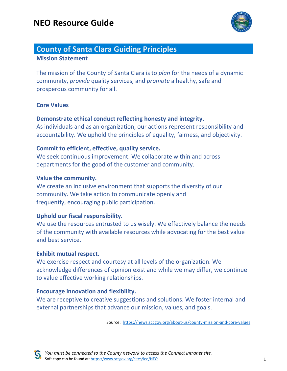

## **County of Santa Clara Guiding Principles**

#### **Mission Statement**

The mission of the County of Santa Clara is to *plan* for the needs of a dynamic community, *provide* quality services, and *promote* a healthy, safe and prosperous community for all.

#### **Core Values**

#### **Demonstrate ethical conduct reflecting honesty and integrity.**

As individuals and as an organization, our actions represent responsibility and accountability. We uphold the principles of equality, fairness, and objectivity.

#### **Commit to efficient, effective, quality service.**

We seek continuous improvement. We collaborate within and across departments for the good of the customer and community.

#### **Value the community.**

We create an inclusive environment that supports the diversity of our community. We take action to communicate openly and frequently, encouraging public participation.

#### **Uphold our fiscal responsibility.**

We use the resources entrusted to us wisely. We effectively balance the needs of the community with available resources while advocating for the best value and best service.

#### **Exhibit mutual respect.**

We exercise respect and courtesy at all levels of the organization. We acknowledge differences of opinion exist and while we may differ, we continue to value effective working relationships.

#### **Encourage innovation and flexibility.**

We are receptive to creative suggestions and solutions. We foster internal and external partnerships that advance our mission, values, and goals.

Source: <https://news.sccgov.org/about-us/county-mission-and-core-values>

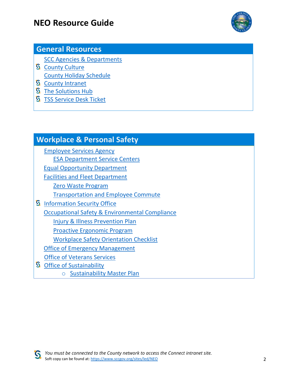

## **General Resources**

[SCC Agencies & Departments](https://home.sccgov.org/government/agencies-departments)

- **S** [County Culture](https://connect.sccgov.org/sites/exec/Pages/default.aspx) [County Holiday Schedule](https://www.sccgov.org/sites/scc/Pages/County-Holidays-Schedule.aspx)
- **S** [County Intranet](https://connect.sccgov.org/)
- **S** [The Solutions Hub](https://sccconnect.sharepoint.com/sites/thesolutionshub)
- **S** [TSS Service Desk Ticket](https://connect.sccgov.org/teams/forms/isd/csd/SitePages/ServiceDesk.aspx)

## **Workplace & Personal Safety**

[Employee Services Agency](https://employeeservices.sccgov.org/home) [ESA Department Service Centers](https://employeeservices.sccgov.org/department-service-centers) [Equal Opportunity Department](https://www.sccgov.org/sites/eod/Pages/home.aspx) [Facilities and Fleet Department](https://www.sccgov.org/sites/faf/Pages/home.aspx) [Zero Waste Program](https://ffd.sccgov.org/about-us/sustainability/zero-waste-county-facilities) [Transportation and Employee Commute](https://ffd.sccgov.org/about-us/transportation) **S** [Information Security Office](https://connect.sccgov.org/sites/ciso/Pages/default.aspx) [Occupational Safety & Environmental Compliance](https://www.sccgov.org/sites/osec/Pages/Home.aspx) [Injury & Illness Prevention Plan](https://www.sccgov.org/sites/osec/SafetyResources/Pages/InjuryIllnessPreventionPlan.aspx) [Proactive Ergonomic Program](https://www.sccgov.org/sites/osec/SafetyResources/Pages/ErgonomicEvaluationProcess.aspx) [Workplace Safety Orientation](https://www.sccgov.org/sites/osec/SafetyResources/Commonly%20Used%20Safety%20Forms%20and%20Lists/WorkplaceEvaluationChecklist.pdf) Checklist [Office of Emergency Management](https://emergencymanagement.sccgov.org/home) [Office of Veterans Services](https://www.sccgov.org/sites/va/Pages/Office-of-Veterans-Services.aspx) **S** Office of Sustainability

o [Sustainability Master Plan](https://www.sccsustainabilityplan.org/)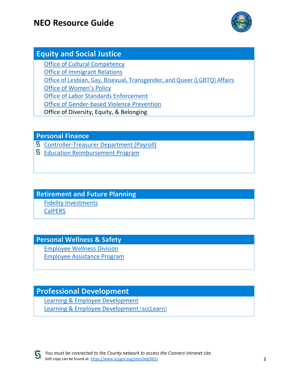

## **Equity and Social Justice**

[Office of Cultural Competency](https://occ.sccgov.org/office-cultural-competency) [Office of Immigrant Relations](https://oir.sccgov.org/home) [Office of Lesbian, Gay, Bisexual, Transgender, and Queer \(LGBTQ\) Affairs](https://lgbtq.sccgov.org/home) [Office of Women's Policy](https://womenspolicy.sccgov.org/home) [Office of Labor Standards](https://laborstandards.sccgov.org/home) Enforcement [Office of Gender-based Violence Prevention](https://endviolence.sccgov.org/home) Office of Diversity, Equity, & Belonging

**Personal Finance**

- [Controller-Treasurer Department \(Payroll\)](https://sccconnect.sharepoint.com/sites/controller/SitePages/Welcome.aspx)
- **S** [Education Reimbursement Program](https://connect.sccgov.org/sites/resources/erp/Pages/default.aspx)

### **Retirement and Future Planning**

[Fidelity Investments](https://nb.fidelity.com/public/nb/santaclara/home) **[CalPERS](https://www.calpers.ca.gov/page/home)** 

### **Personal Wellness & Safety**

[Employee Wellness Division](https://www.sccgov.org/sites/wellness/Pages/ewd.aspx)

[Employee Assistance Program](https://www.sccgov.org/sites/eap/Pages/Employee-Assistance-Program.aspx)

## **Professional Development**

[Learning & Employee Development](https://www.sccgov.org/sites/led/Pages/led.aspx) [Learning & Employee Development](https://www.sccgov.org/sites/led/Pages/led.aspx) [\(sccLearn\)](https://scclearn.sumtotal.host/)

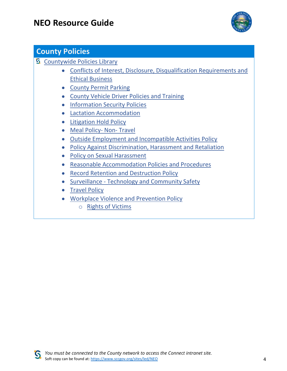

## **County Policies**

- **S** [Countywide Policies Library](https://connect.sccgov.org/sites/Policies/Pages/default.aspx)
	- [Conflicts of Interest, Disclosure, Disqualification Requirements and](file:///C:/Users/Miriam.vargas-padill/AppData/Local/Microsoft/Windows/INetCache/Content.Outlook/DXTDQX16/Conflicts%20of%20Interest,%20Disclosure,%20Disqualification%20Requirements%20and%20Ethical%20Business%20Policy)  [Ethical Business](file:///C:/Users/Miriam.vargas-padill/AppData/Local/Microsoft/Windows/INetCache/Content.Outlook/DXTDQX16/Conflicts%20of%20Interest,%20Disclosure,%20Disqualification%20Requirements%20and%20Ethical%20Business%20Policy)
	- [County Permit Parking](https://connect.sccgov.org/sites/faf/Parking/FAQs/Pages/default.aspx)
	- [County Vehicle Driver Policies and Training](https://sccconnect.sharepoint.com/sites/lpi/Pages/county-vehicle-driver-policies-training.aspx)
	- [Information Security Policies](https://connect.sccgov.org/sites/policies/policypages/Pages/Information-Technology-Security-Policies.aspx)
	- [Lactation Accommodation](https://connect.sccgov.org/sites/policies/FormsrelatedtoPolicies/LA/Lactation-Accommodation-Policy-Brochure.pdf)
	- [Litigation Hold Policy](https://connect.sccgov.org/sites/policies/policypages/Pages/Board-Policy-3.56-Litigation-Hold-Policy.aspx)
	- [Meal Policy-](https://connect.sccgov.org/sites/policies/policypages/Pages/Meal-Policy-Non-Travel.aspx) Non- Travel
	- [Outside Employment and Incompatible Activities Policy](https://connect.sccgov.org/sites/policies/policypages/Pages/Board-Policy-3.6-Outside-Employment-Policy.aspx)
	- [Policy Against Discrimination, Harassment and Retaliation](https://connect.sccgov.org/sites/policies/policypages/Pages/Board-Policy-3.8-Policy-Against-Discrimination-Harassment-and-Retaliation.aspx)
	- [Policy on Sexual Harassment](https://connect.sccgov.org/sites/policies/policypages/Pages/Board-Policy-3.9-Policy-on-Sexual-Harassment.aspx)
	- [Reasonable Accommodation Policies and Procedures](https://equalopportunity.sccgov.org/sites/g/files/exjcpb1126/files/reasonable-acommodation-policy.pdf)
	- [Record Retention and Destruction Policy](https://connect.sccgov.org/sites/policies/policypages/Pages/Board-Policy-3.57-Record-Retention-and-Destruction.aspx)
	- Surveillance [Technology and Community Safety](https://connect.sccgov.org/sites/policies/policypages/Pages/Surveillance-Reference-Policy.aspx)
	- [Travel Policy](https://connect.sccgov.org/sites/policies/policypages/Pages/Travel-Policy.aspx)
	- [Workplace Violence and Prevention Policy](https://connect.sccgov.org/sites/policies/policypages/Pages/Board-Policy-3.18-Workplace-Violence-Prevention-Policy.aspx)
		- o [Rights of Victims](https://www.sccgov.org/sites/led/Documents/Rights-Of-Victims.pdf)